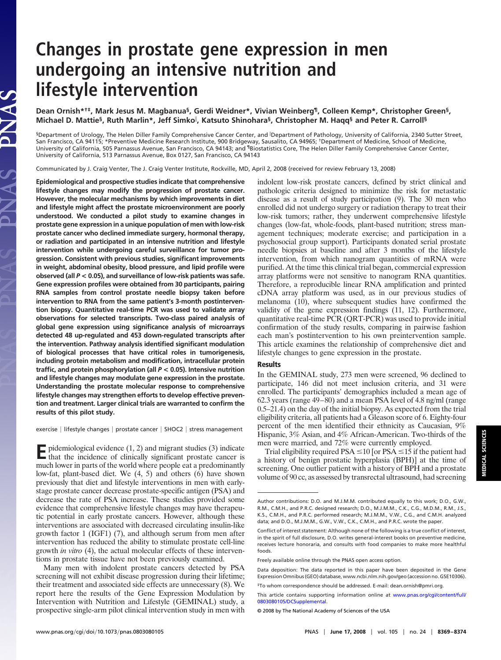## **Changes in prostate gene expression in men undergoing an intensive nutrition and lifestyle intervention**

**Dean Ornish\*†‡, Mark Jesus M. Magbanua§, Gerdi Weidner\*, Vivian Weinberg¶, Colleen Kemp\*, Christopher Green§, Michael D. Mattie§, Ruth Marlin\*, Jeff Simko , Katsuto Shinohara§, Christopher M. Haqq§ and Peter R. Carroll§**

<sup>§</sup>Department of Urology, The Helen Diller Family Comprehensive Cancer Center, and <sup>∥</sup>Department of Pathology, University of California, 2340 Sutter Street,<br>San Francisco, CA 94115; \*Preventive Medicine Research Institute University of California, 505 Parnassus Avenue, San Francisco, CA 94143; and ¶Biostatistics Core, The Helen Diller Family Comprehensive Cancer Center, University of California, 513 Parnassus Avenue, Box 0127, San Francisco, CA 94143

Communicated by J. Craig Venter, The J. Craig Venter Institute, Rockville, MD, April 2, 2008 (received for review February 13, 2008)

**Epidemiological and prospective studies indicate that comprehensive lifestyle changes may modify the progression of prostate cancer. However, the molecular mechanisms by which improvements in diet and lifestyle might affect the prostate microenvironment are poorly understood. We conducted a pilot study to examine changes in prostate gene expression in a unique population of men with low-risk prostate cancer who declined immediate surgery, hormonal therapy, or radiation and participated in an intensive nutrition and lifestyle intervention while undergoing careful surveillance for tumor progression. Consistent with previous studies, significant improvements in weight, abdominal obesity, blood pressure, and lipid profile were observed (all** *P* **< 0.05), and surveillance of low-risk patients was safe. Gene expression profiles were obtained from 30 participants, pairing RNA samples from control prostate needle biopsy taken before intervention to RNA from the same patient's 3-month postintervention biopsy. Quantitative real-time PCR was used to validate array observations for selected transcripts. Two-class paired analysis of global gene expression using significance analysis of microarrays detected 48 up-regulated and 453 down-regulated transcripts after the intervention. Pathway analysis identified significant modulation of biological processes that have critical roles in tumorigenesis, including protein metabolism and modification, intracellular protein traffic, and protein phosphorylation (all** *P* **< 0.05). Intensive nutrition and lifestyle changes may modulate gene expression in the prostate. Understanding the prostate molecular response to comprehensive lifestyle changes may strengthen efforts to develop effective prevention and treatment. Larger clinical trials are warranted to confirm the results of this pilot study.**

PNAS

exercise | lifestyle changes | prostate cancer | SHOC2 | stress management

**E**pidemiological evidence (1, 2) and migrant studies (3) indicate that the incidence of clinically significant prostate cancer is much lower in parts of the world where people eat a predominantly low-fat, plant-based diet. We (4, 5) and others (6) have shown previously that diet and lifestyle interventions in men with earlystage prostate cancer decrease prostate-specific antigen (PSA) and decrease the rate of PSA increase. These studies provided some evidence that comprehensive lifestyle changes may have therapeutic potential in early prostate cancers. However, although these interventions are associated with decreased circulating insulin-like growth factor 1 (IGF1) (7), and although serum from men after intervention has reduced the ability to stimulate prostate cell-line growth *in vitro* (4), the actual molecular effects of these interventions in prostate tissue have not been previously examined.

Many men with indolent prostate cancers detected by PSA screening will not exhibit disease progression during their lifetime; their treatment and associated side effects are unnecessary (8). We report here the results of the Gene Expression Modulation by Intervention with Nutrition and Lifestyle (GEMINAL) study, a prospective single-arm pilot clinical intervention study in men with indolent low-risk prostate cancers, defined by strict clinical and pathologic criteria designed to minimize the risk for metastatic disease as a result of study participation (9). The 30 men who enrolled did not undergo surgery or radiation therapy to treat their low-risk tumors; rather, they underwent comprehensive lifestyle changes (low-fat, whole-foods, plant-based nutrition; stress management techniques; moderate exercise; and participation in a psychosocial group support). Participants donated serial prostate needle biopsies at baseline and after 3 months of the lifestyle intervention, from which nanogram quantities of mRNA were purified. At the time this clinical trial began, commercial expression array platforms were not sensitive to nanogram RNA quantities. Therefore, a reproducible linear RNA amplification and printed cDNA array platform was used, as in our previous studies of melanoma (10), where subsequent studies have confirmed the validity of the gene expression findings (11, 12). Furthermore, quantitative real-time PCR (QRT-PCR) was used to provide initial confirmation of the study results, comparing in pairwise fashion each man's postintervention to his own preintervention sample. This article examines the relationship of comprehensive diet and lifestyle changes to gene expression in the prostate.

## **Results**

In the GEMINAL study, 273 men were screened, 96 declined to participate, 146 did not meet inclusion criteria, and 31 were enrolled. The participants' demographics included a mean age of 62.3 years (range 49–80) and a mean PSA level of 4.8 ng/ml (range 0.5–21.4) on the day of the initial biopsy. As expected from the trial eligibility criteria, all patients had a Gleason score of 6. Eighty-four percent of the men identified their ethnicity as Caucasian, 9% Hispanic, 3% Asian, and 4% African-American. Two-thirds of the men were married, and 72% were currently employed.

Trial eligibility required PSA  $\leq$  10 [or PSA  $\leq$  15 if the patient had a history of benign prostatic hyperplasia (BPH)] at the time of screening. One outlier patient with a history of BPH and a prostate volume of 90 cc, as assessed by transrectal ultrasound, had screening

Author contributions: D.O. and M.J.M.M. contributed equally to this work; D.O., G.W., R.M., C.M.H., and P.R.C. designed research; D.O., M.J.M.M., C.K., C.G., M.D.M., R.M., J.S., K.S., C.M.H., and P.R.C. performed research; M.J.M.M., V.W., C.G., and C.M.H. analyzed data; and D.O., M.J.M.M., G.W., V.W., C.K., C.M.H., and P.R.C. wrote the paper.

Conflict of interest statement: Although none of the following is a true conflict of interest, in the spirit of full disclosure, D.O. writes general-interest books on preventive medicine, receives lecture honoraria, and consults with food companies to make more healthful foods.

Freely available online through the PNAS open access option.

Data deposition: The data reported in this paper have been deposited in the Gene Expression Omnibus (GEO) database, www.ncbi.nlm.nih.gov/geo (accession no. GSE10306). ‡To whom correspondence should be addressed. E-mail: dean.ornish@pmri.org.

This article contains supporting information online at [www.pnas.org/cgi/content/full/](http://www.pnas.org/cgi/content/full/0803080105/DCSupplemental) [0803080105/DCSupplemental.](http://www.pnas.org/cgi/content/full/0803080105/DCSupplemental)

<sup>© 2008</sup> by The National Academy of Sciences of the USA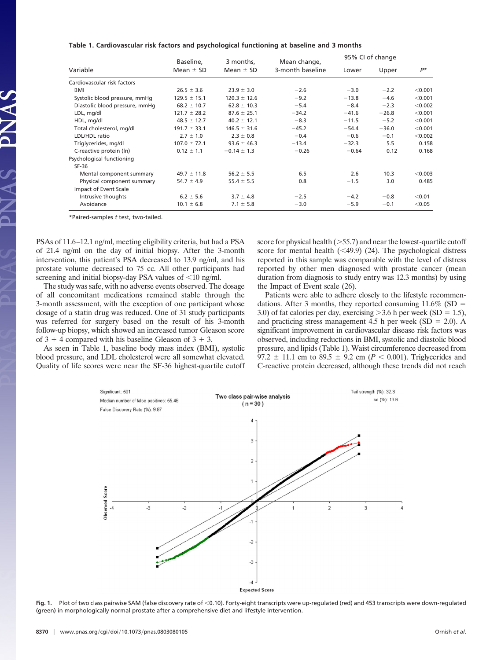| Table 1. Cardiovascular risk factors and psychological functioning at baseline and 3 months |  |  |  |
|---------------------------------------------------------------------------------------------|--|--|--|
|                                                                                             |  |  |  |

|                                | Baseline,        | 3 months,<br>Mean $\pm$ SD | Mean change,<br>3-month baseline | 95% CI of change |         |         |
|--------------------------------|------------------|----------------------------|----------------------------------|------------------|---------|---------|
| Variable                       | Mean $\pm$ SD    |                            |                                  | Lower            | Upper   | P*      |
| Cardiovascular risk factors    |                  |                            |                                  |                  |         |         |
| BMI                            | $26.5 \pm 3.6$   | $23.9 \pm 3.0$             | $-2.6$                           | $-3.0$           | $-2.2$  | < 0.001 |
| Systolic blood pressure, mmHg  | $129.5 \pm 15.1$ | $120.3 \pm 12.6$           | $-9.2$                           | $-13.8$          | $-4.6$  | < 0.001 |
| Diastolic blood pressure, mmHq | $68.2 \pm 10.7$  | $62.8 \pm 10.3$            | $-5.4$                           | $-8.4$           | $-2.3$  | < 0.002 |
| LDL, mg/dl                     | $121.7 \pm 28.2$ | $87.6 \pm 25.1$            | $-34.2$                          | $-41.6$          | $-26.8$ | < 0.001 |
| HDL, mg/dl                     | $48.5 \pm 12.7$  | $40.2 \pm 12.1$            | $-8.3$                           | $-11.5$          | $-5.2$  | < 0.001 |
| Total cholesterol, mg/dl       | $191.7 \pm 33.1$ | $146.5 \pm 31.6$           | $-45.2$                          | $-54.4$          | $-36.0$ | < 0.001 |
| LDL/HDL ratio                  | $2.7 \pm 1.0$    | $2.3 \pm 0.8$              | $-0.4$                           | $-0.6$           | $-0.1$  | < 0.002 |
| Triglycerides, mg/dl           | $107.0 \pm 72.1$ | $93.6 \pm 46.3$            | $-13.4$                          | $-32.3$          | 5.5     | 0.158   |
| C-reactive protein (In)        | $0.12 \pm 1.1$   | $-0.14 \pm 1.3$            | $-0.26$                          | $-0.64$          | 0.12    | 0.168   |
| Psychological functioning      |                  |                            |                                  |                  |         |         |
| $SF-36$                        |                  |                            |                                  |                  |         |         |
| Mental component summary       | $49.7 \pm 11.8$  | $56.2 \pm 5.5$             | 6.5                              | 2.6              | 10.3    | < 0.003 |
| Physical component summary     | $54.7 \pm 4.9$   | $55.4 \pm 5.5$             | 0.8                              | $-1.5$           | 3.0     | 0.485   |
| Impact of Event Scale          |                  |                            |                                  |                  |         |         |
| Intrusive thoughts             | $6.2 \pm 5.6$    | $3.7 \pm 4.8$              | $-2.5$                           | $-4.2$           | $-0.8$  | < 0.01  |
| Avoidance                      | $10.1 \pm 6.8$   | $7.1 \pm 5.8$              | $-3.0$                           | $-5.9$           | $-0.1$  | < 0.05  |

\*Paired-samples *t* test, two-tailed.

PSAs of 11.6–12.1 ng/ml, meeting eligibility criteria, but had a PSA of 21.4 ng/ml on the day of initial biopsy. After the 3-month intervention, this patient's PSA decreased to 13.9 ng/ml, and his prostate volume decreased to 75 cc. All other participants had screening and initial biopsy-day PSA values of  $\leq 10$  ng/ml.

The study was safe, with no adverse events observed. The dosage of all concomitant medications remained stable through the 3-month assessment, with the exception of one participant whose dosage of a statin drug was reduced. One of 31 study participants was referred for surgery based on the result of his 3-month follow-up biopsy, which showed an increased tumor Gleason score of  $3 + 4$  compared with his baseline Gleason of  $3 + 3$ .

As seen in Table 1, baseline body mass index (BMI), systolic blood pressure, and LDL cholesterol were all somewhat elevated. Quality of life scores were near the SF-36 highest-quartile cutoff score for physical health  $($ >55.7) and near the lowest-quartile cutoff score for mental health  $(\leq 49.9)$  (24). The psychological distress reported in this sample was comparable with the level of distress reported by other men diagnosed with prostate cancer (mean duration from diagnosis to study entry was 12.3 months) by using the Impact of Event scale (26).

Patients were able to adhere closely to the lifestyle recommendations. After 3 months, they reported consuming  $11.6\%$  (SD = 3.0) of fat calories per day, exercising  $>$  3.6 h per week (SD = 1.5), and practicing stress management 4.5 h per week (SD  $= 2.0$ ). A significant improvement in cardiovascular disease risk factors was observed, including reductions in BMI, systolic and diastolic blood pressure, and lipids (Table 1). Waist circumference decreased from 97.2  $\pm$  11.1 cm to 89.5  $\pm$  9.2 cm (*P* < 0.001). Triglycerides and C-reactive protein decreased, although these trends did not reach



Fig. 1. Plot of two class pairwise SAM (false discovery rate of <0.10). Forty-eight transcripts were up-regulated (red) and 453 transcripts were down-regulated (green) in morphologically normal prostate after a comprehensive diet and lifestyle intervention.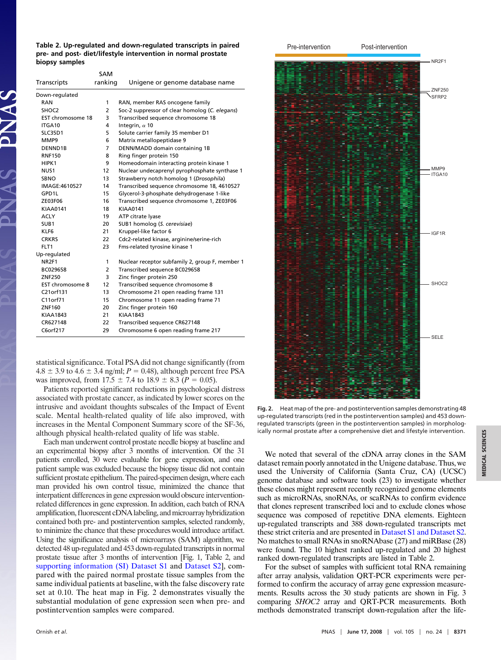**Table 2. Up-regulated and down-regulated transcripts in paired pre- and post- diet/lifestyle intervention in normal prostate biopsy samples**

| Transcripts       | <b>SAM</b><br>ranking | Unigene or genome database name                 |
|-------------------|-----------------------|-------------------------------------------------|
| Down-regulated    |                       |                                                 |
| RAN               | 1                     | RAN, member RAS oncogene family                 |
| SHOC <sub>2</sub> | 2                     | Soc-2 suppressor of clear homolog (C. elegans)  |
| EST chromosome 18 | 3                     | Transcribed sequence chromosome 18              |
| ITGA10            | 4                     | Integrin, $\alpha$ 10                           |
| <b>SLC35D1</b>    | 5                     | Solute carrier family 35 member D1              |
| MMP9              | 6                     | Matrix metallopeptidase 9                       |
| DENND1B           | 7                     | DENN/MADD domain containing 1B                  |
| <b>RNF150</b>     | 8                     | Ring finger protein 150                         |
| HIPK1             | 9                     | Homeodomain interacting protein kinase 1        |
| NUS <sub>1</sub>  | 12                    | Nuclear undecaprenyl pyrophosphate synthase 1   |
| <b>SBNO</b>       | 13                    | Strawberry notch homolog 1 (Drosophila)         |
| IMAGE:4610527     | 14                    | Transcribed sequence chromosome 18, 4610527     |
| GPD1L             | 15                    | Glycerol-3-phosphate dehydrogenase 1-like       |
| ZE03F06           | 16                    | Transcribed sequence chromosome 1, ZE03F06      |
| KIAA0141          | 18                    | <b>KIAA0141</b>                                 |
| <b>ACLY</b>       | 19                    | ATP citrate lyase                               |
| SUB <sub>1</sub>  | 20                    | SUB1 homolog (S. cerevisiae)                    |
| KLF6              | 21                    | Kruppel-like factor 6                           |
| <b>CRKRS</b>      | 22                    | Cdc2-related kinase, arginine/serine-rich       |
| FLT1              | 23                    | Fms-related tyrosine kinase 1                   |
| Up-regulated      |                       |                                                 |
| NR <sub>2F1</sub> | 1                     | Nuclear receptor subfamily 2, group F, member 1 |
| BC029658          | $\overline{2}$        | Transcribed sequence BC029658                   |
| ZNF250            | 3                     | Zinc finger protein 250                         |
| EST chromosome 8  | 12                    | Transcribed sequence chromosome 8               |
| C21orf131         | 13                    | Chromosome 21 open reading frame 131            |
| C11orf71          | 15                    | Chromosome 11 open reading frame 71             |
| ZNF160            | 20                    | Zinc finger protein 160                         |
| <b>KIAA1843</b>   | 21                    | <b>KIAA1843</b>                                 |
| CR627148          | 22                    | Transcribed sequence CR627148                   |
| C6orf217          | 29                    | Chromosome 6 open reading frame 217             |

statistical significance. Total PSA did not change significantly (from  $4.8 \pm 3.9$  to  $4.6 \pm 3.4$  ng/ml;  $P = 0.48$ ), although percent free PSA was improved, from  $17.5 \pm 7.4$  to  $18.9 \pm 8.3$  ( $P = 0.05$ ).

Patients reported significant reductions in psychological distress associated with prostate cancer, as indicated by lower scores on the intrusive and avoidant thoughts subscales of the Impact of Event scale. Mental health-related quality of life also improved, with increases in the Mental Component Summary score of the SF-36, although physical health-related quality of life was stable.

Each man underwent control prostate needle biopsy at baseline and an experimental biopsy after 3 months of intervention. Of the 31 patients enrolled, 30 were evaluable for gene expression, and one patient sample was excluded because the biopsy tissue did not contain sufficient prostate epithelium. The paired-specimen design, where each man provided his own control tissue, minimized the chance that interpatient differences in gene expression would obscure interventionrelated differences in gene expression. In addition, each batch of RNA amplification, fluorescent cDNAlabeling, andmicroarray hybridization contained both pre- and postintervention samples, selected randomly, to minimize the chance that these procedures would introduce artifact. Using the significance analysis of microarrays (SAM) algorithm, we detected 48 up-regulated and 453 down-regulated transcripts in normal prostate tissue after 3 months of intervention [Fig. 1, Table 2, and [supporting information \(SI\) Dataset S1](http://www.pnas.org/cgi/data/0803080105/DCSupplemental/Supplemental_PDF#nameddest=SD1) and [Dataset S2\]](http://www.pnas.org/cgi/data/0803080105/DCSupplemental/Supplemental_PDF#nameddest=SD2), compared with the paired normal prostate tissue samples from the same individual patients at baseline, with the false discovery rate set at 0.10. The heat map in Fig. 2 demonstrates visually the substantial modulation of gene expression seen when pre- and postintervention samples were compared.



**MEDICAL SCIENCES MEDICAL SCIENCES**

**Fig. 2.** Heat map of the pre- and postintervention samples demonstrating 48 up-regulated transcripts (red in the postintervention samples) and 453 downregulated transcripts (green in the postintervention samples) in morphologically normal prostate after a comprehensive diet and lifestyle intervention.

We noted that several of the cDNA array clones in the SAM dataset remain poorly annotated in the Unigene database. Thus, we used the University of California (Santa Cruz, CA) (UCSC) genome database and software tools (23) to investigate whether these clones might represent recently recognized genome elements such as microRNAs, snoRNAs, or scaRNAs to confirm evidence that clones represent transcribed loci and to exclude clones whose sequence was composed of repetitive DNA elements. Eighteen up-regulated transcripts and 388 down-regulated transcripts met these strict criteria and are presented in [Dataset S1 and Dataset S2.](http://www.pnas.org/cgi/data/0803080105/DCSupplemental/Supplemental_PDF#nameddest=SD1) No matches to small RNAs in snoRNAbase (27) and miRBase (28) were found. The 10 highest ranked up-regulated and 20 highest ranked down-regulated transcripts are listed in Table 2.

For the subset of samples with sufficient total RNA remaining after array analysis, validation QRT-PCR experiments were performed to confirm the accuracy of array gene expression measurements. Results across the 30 study patients are shown in Fig. 3 comparing *SHOC2* array and QRT-PCR measurements. Both methods demonstrated transcript down-regulation after the life-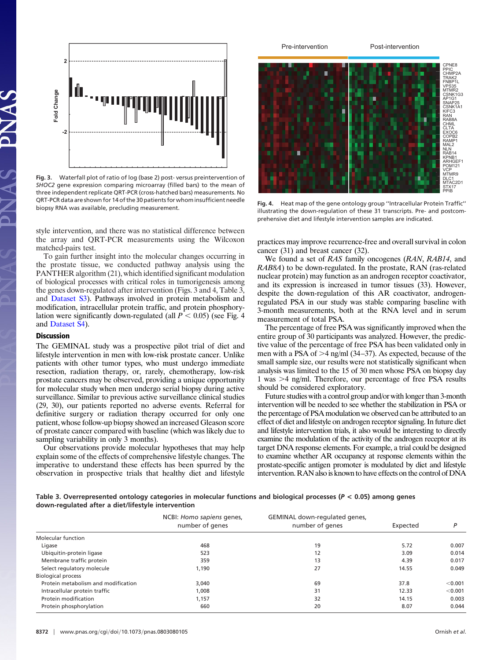

**Fig. 3.** Waterfall plot of ratio of log (base 2) post- versus preintervention of *SHOC2* gene expression comparing microarray (filled bars) to the mean of three independent replicate QRT-PCR (cross-hatched bars) measurements. No QRT-PCR data are shown for 14 of the 30 patients for whom insufficient needle biopsy RNA was available, precluding measurement.

style intervention, and there was no statistical difference between the array and QRT-PCR measurements using the Wilcoxon matched-pairs test.

To gain further insight into the molecular changes occurring in the prostate tissue, we conducted pathway analysis using the PANTHER algorithm (21), which identified significant modulation of biological processes with critical roles in tumorigenesis among the genes down-regulated after intervention (Figs. 3 and 4, Table 3, and [Dataset S3\)](http://www.pnas.org/cgi/data/0803080105/DCSupplemental/Supplemental_PDF#nameddest=SD3). Pathways involved in protein metabolism and modification, intracellular protein traffic, and protein phosphorylation were significantly down-regulated (all  $P < 0.05$ ) (see Fig. 4) and [Dataset S4\)](http://www.pnas.org/cgi/data/0803080105/DCSupplemental/Supplemental_PDF#nameddest=SD2).

## **Discussion**

The GEMINAL study was a prospective pilot trial of diet and lifestyle intervention in men with low-risk prostate cancer. Unlike patients with other tumor types, who must undergo immediate resection, radiation therapy, or, rarely, chemotherapy, low-risk prostate cancers may be observed, providing a unique opportunity for molecular study when men undergo serial biopsy during active surveillance. Similar to previous active surveillance clinical studies (29, 30), our patients reported no adverse events. Referral for definitive surgery or radiation therapy occurred for only one patient, whose follow-up biopsy showed an increased Gleason score of prostate cancer compared with baseline (which was likely due to sampling variability in only 3 months).

Our observations provide molecular hypotheses that may help explain some of the effects of comprehensive lifestyle changes. The imperative to understand these effects has been spurred by the observation in prospective trials that healthy diet and lifestyle



**Fig. 4.** Heat map of the gene ontology group ''Intracellular Protein Traffic'' illustrating the down-regulation of these 31 transcripts. Pre- and postcomprehensive diet and lifestyle intervention samples are indicated.

practices may improve recurrence-free and overall survival in colon cancer (31) and breast cancer (32).

We found a set of *RAS* family oncogenes (*RAN*, *RAB14*, and *RAB8A*) to be down-regulated. In the prostate, RAN (ras-related nuclear protein) may function as an androgen receptor coactivator, and its expression is increased in tumor tissues (33). However, despite the down-regulation of this AR coactivator, androgenregulated PSA in our study was stable comparing baseline with 3-month measurements, both at the RNA level and in serum measurement of total PSA.

The percentage of free PSA was significantly improved when the entire group of 30 participants was analyzed. However, the predictive value of the percentage of free PSA has been validated only in men with a PSA of  $>4$  ng/ml (34–37). As expected, because of the small sample size, our results were not statistically significant when analysis was limited to the 15 of 30 men whose PSA on biopsy day 1 was  $>4$  ng/ml. Therefore, our percentage of free PSA results should be considered exploratory.

Future studies with a control group and/or with longer than 3-month intervention will be needed to see whether the stabilization in PSA or the percentage of PSA modulation we observed can be attributed to an effect of diet and lifestyle on androgen receptor signaling. In future diet and lifestyle intervention trials, it also would be interesting to directly examine the modulation of the activity of the androgen receptor at its target DNA response elements. For example, a trial could be designed to examine whether AR occupancy at response elements within the prostate-specific antigen promoter is modulated by diet and lifestyle intervention. RAN also is known to have effects on the control of DNA

**Table 3. Overrepresented ontology categories in molecular functions and biological processes (***P* **< 0.05) among genes down-regulated after a diet/lifestyle intervention**

|                                     | NCBI: Homo sapiens genes, | GEMINAL down-regulated genes, |          |         |
|-------------------------------------|---------------------------|-------------------------------|----------|---------|
|                                     | number of genes           | number of genes               | Expected | D       |
| <b>Molecular function</b>           |                           |                               |          |         |
| Ligase                              | 468                       | 19                            | 5.72     | 0.007   |
| Ubiquitin-protein ligase            | 523                       | 12                            | 3.09     | 0.014   |
| Membrane traffic protein            | 359                       | 13                            | 4.39     | 0.017   |
| Select regulatory molecule          | 1,190                     | 27                            | 14.55    | 0.049   |
| <b>Biological process</b>           |                           |                               |          |         |
| Protein metabolism and modification | 3,040                     | 69                            | 37.8     | < 0.001 |
| Intracellular protein traffic       | 1,008                     | 31                            | 12.33    | < 0.001 |
| Protein modification                | 1,157                     | 32                            | 14.15    | 0.003   |
| Protein phosphorylation             | 660                       | 20                            | 8.07     | 0.044   |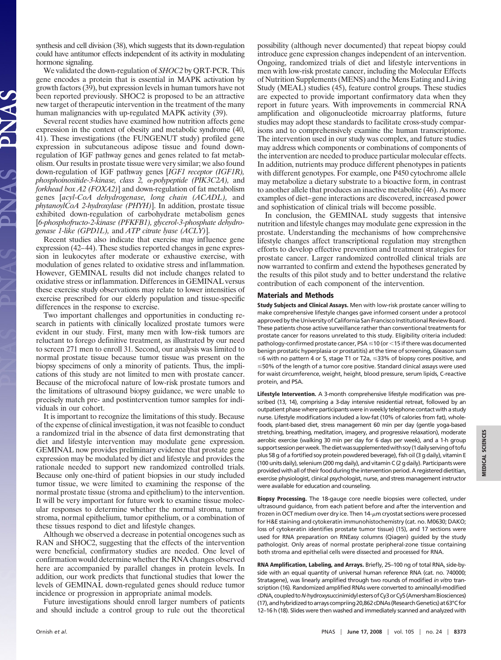synthesis and cell division (38), which suggests that its down-regulation could have antitumor effects independent of its activity in modulating hormone signaling.

We validated the down-regulation of *SHOC2* by QRT-PCR. This gene encodes a protein that is essential in MAPK activation by growth factors (39), but expression levels in human tumors have not been reported previously. SHOC2 is proposed to be an attractive new target of therapeutic intervention in the treatment of the many human malignancies with up-regulated MAPK activity (39).

Several recent studies have examined how nutrition affects gene expression in the context of obesity and metabolic syndrome (40, 41). These investigations (the FUNGENUT study) profiled gene expression in subcutaneous adipose tissue and found downregulation of IGF pathway genes and genes related to fat metabolism. Our results in prostate tissue were very similar; we also found down-regulation of IGF pathway genes [*IGF1 receptor (IGF1R),* phosphoinositide-3-kinase, class 2, α-polypeptide (PIK3C2A), and *forkhead box A2 (FOXA2)*] and down-regulation of fat metabolism genes [*acyl-CoA dehydrogenase, long chain (ACADL),* and *phytanoylCoA 2-hydroxylase (PHYH)*]. In addition, prostate tissue exhibited down-regulation of carbohydrate metabolism genes [*6-phosphofructo-2-kinase (PFKFB1), glycerol-3-phosphate dehydrogenase 1-like (GPD1L),* and *ATP citrate lyase (ACLY)*].

Recent studies also indicate that exercise may influence gene expression (42–44). These studies reported changes in gene expression in leukocytes after moderate or exhaustive exercise, with modulation of genes related to oxidative stress and inflammation. However, GEMINAL results did not include changes related to oxidative stress or inflammation. Differences in GEMINAL versus these exercise study observations may relate to lower intensities of exercise prescribed for our elderly population and tissue-specific differences in the response to exercise.

Two important challenges and opportunities in conducting research in patients with clinically localized prostate tumors were evident in our study. First, many men with low-risk tumors are reluctant to forego definitive treatment, as illustrated by our need to screen 271 men to enroll 31. Second, our analysis was limited to normal prostate tissue because tumor tissue was present on the biopsy specimens of only a minority of patients. Thus, the implications of this study are not limited to men with prostate cancer. Because of the microfocal nature of low-risk prostate tumors and the limitations of ultrasound biopsy guidance, we were unable to precisely match pre- and postintervention tumor samples for individuals in our cohort.

It is important to recognize the limitations of this study. Because of the expense of clinical investigation, it was not feasible to conduct a randomized trial in the absence of data first demonstrating that diet and lifestyle intervention may modulate gene expression. GEMINAL now provides preliminary evidence that prostate gene expression may be modulated by diet and lifestyle and provides the rationale needed to support new randomized controlled trials. Because only one-third of patient biopsies in our study included tumor tissue, we were limited to examining the response of the normal prostate tissue (stroma and epithelium) to the intervention. It will be very important for future work to examine tissue molecular responses to determine whether the normal stroma, tumor stroma, normal epithelium, tumor epithelium, or a combination of these tissues respond to diet and lifestyle changes.

Although we observed a decrease in potential oncogenes such as RAN and SHOC2, suggesting that the effects of the intervention were beneficial, confirmatory studies are needed. One level of confirmation would determine whether the RNA changes observed here are accompanied by parallel changes in protein levels. In addition, our work predicts that functional studies that lower the levels of GEMINAL down-regulated genes should reduce tumor incidence or progression in appropriate animal models.

Future investigations should enroll larger numbers of patients and should include a control group to rule out the theoretical possibility (although never documented) that repeat biopsy could introduce gene expression changes independent of an intervention. Ongoing, randomized trials of diet and lifestyle interventions in men with low-risk prostate cancer, including the Molecular Effects of Nutrition Supplements (MENS) and the Mens Eating and Living Study (MEAL) studies (45), feature control groups. These studies are expected to provide important confirmatory data when they report in future years. With improvements in commercial RNA amplification and oligonucleotide microarray platforms, future studies may adopt these standards to facilitate cross-study comparisons and to comprehensively examine the human transcriptome. The intervention used in our study was complex, and future studies may address which components or combinations of components of the intervention are needed to produce particular molecular effects. In addition, nutrients may produce different phenotypes in patients with different genotypes. For example, one P450 cytochrome allele may metabolize a dietary substrate to a bioactive form, in contrast to another allele that produces an inactive metabolite (46). As more examples of diet–gene interactions are discovered, increased power and sophistication of clinical trials will become possible.

In conclusion, the GEMINAL study suggests that intensive nutrition and lifestyle changes may modulate gene expression in the prostate. Understanding the mechanisms of how comprehensive lifestyle changes affect transcriptional regulation may strengthen efforts to develop effective prevention and treatment strategies for prostate cancer. Larger randomized controlled clinical trials are now warranted to confirm and extend the hypotheses generated by the results of this pilot study and to better understand the relative contribution of each component of the intervention.

## **Materials and Methods**

**Study Subjects and Clinical Assays.** Men with low-risk prostate cancer willing to make comprehensive lifestyle changes gave informed consent under a protocol approved by the University of California San Francisco Institutional Review Board. These patients chose active surveillance rather than conventional treatments for prostate cancer for reasons unrelated to this study. Eligibility criteria included: pathology-confirmed prostate cancer, PSA  $\leq$  10 (or  $<$  15 if there was documented benign prostatic hyperplasia or prostatitis) at the time of screening, Gleason sum  $\leq$ 6 with no pattern 4 or 5, stage T1 or T2a,  $\leq$ 33% of biopsy cores positive, and  $\leq$ 50% of the length of a tumor core positive. Standard clinical assays were used for waist circumference, weight, height, blood pressure, serum lipids, C-reactive protein, and PSA.

**Lifestyle Intervention.** A 3-month comprehensive lifestyle modification was prescribed (13, 14), comprising a 3-day intensive residential retreat, followed by an outpatient phase where participants were in weekly telephone contact with a study nurse. Lifestyle modifications included a low-fat (10% of calories from fat), wholefoods, plant-based diet, stress management 60 min per day (gentle yoga-based stretching, breathing, meditation, imagery, and progressive relaxation), moderate aerobic exercise (walking 30 min per day for 6 days per week), and a 1-h group support session per week. The diet was supplemented with soy (1 daily serving of tofu plus 58 g of a fortified soy protein powdered beverage), fish oil (3 g daily), vitamin E (100 units daily), selenium (200 mg daily), and vitamin C (2 g daily). Participants were provided with all of their food during the intervention period. A registered dietitian, exercise physiologist, clinical psychologist, nurse, and stress management instructor were available for education and counseling.

**Biopsy Processing.** The 18-gauge core needle biopsies were collected, under ultrasound guidance, from each patient before and after the intervention and frozen in OCT medium over dry ice. Then  $14$ - $\mu$ m cryostat sections were processed for H&E staining and cytokeratin immunohistochemistry (cat. no. M0630; DAKO; loss of cytokeratin identifies prostate tumor tissue) (15), and 17 sections were used for RNA preparation on RNEasy columns (Qiagen) guided by the study pathologist. Only areas of normal prostate peripheral-zone tissue containing both stroma and epithelial cells were dissected and processed for RNA.

**RNA Amplification, Labeling, and Arrays.** Briefly, 25–100 ng of total RNA, side-byside with an equal quantity of universal human reference RNA (cat. no. 740000; Stratagene), was linearly amplified through two rounds of modified *in vitro* transcription (16). Randomized amplified RNAs were converted to aminoallyl-modified cDNA,coupledto*N*-hydroxysuccinimidylestersofCy3orCy5(AmershamBiosciences) (17), and hybridized to arrays compriing 20,862 cDNAs (Research Genetics) at 63°C for 12–16 h (18). Slides were then washed and immediately scanned and analyzed with